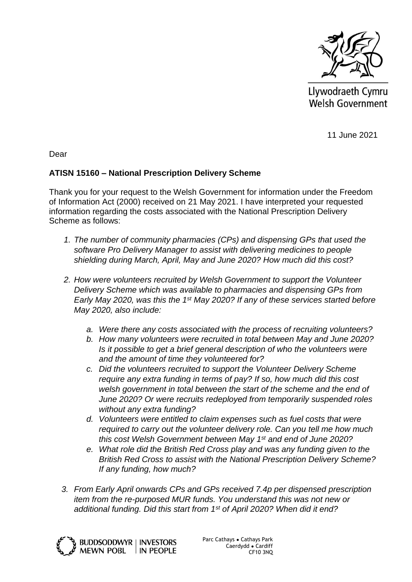

Llywodraeth Cymru Welsh Government

11 June 2021

Dear

## **ATISN 15160 – National Prescription Delivery Scheme**

Thank you for your request to the Welsh Government for information under the Freedom of Information Act (2000) received on 21 May 2021. I have interpreted your requested information regarding the costs associated with the National Prescription Delivery Scheme as follows:

- *1. The number of community pharmacies (CPs) and dispensing GPs that used the software Pro Delivery Manager to assist with delivering medicines to people shielding during March, April, May and June 2020? How much did this cost?*
- *2. How were volunteers recruited by Welsh Government to support the Volunteer Delivery Scheme which was available to pharmacies and dispensing GPs from Early May 2020, was this the 1st May 2020? If any of these services started before May 2020, also include:* 
	- *a. Were there any costs associated with the process of recruiting volunteers?*
	- *b. How many volunteers were recruited in total between May and June 2020? Is it possible to get a brief general description of who the volunteers were and the amount of time they volunteered for?*
	- *c. Did the volunteers recruited to support the Volunteer Delivery Scheme require any extra funding in terms of pay? If so, how much did this cost welsh government in total between the start of the scheme and the end of June 2020? Or were recruits redeployed from temporarily suspended roles without any extra funding?*
	- *d. Volunteers were entitled to claim expenses such as fuel costs that were required to carry out the volunteer delivery role. Can you tell me how much this cost Welsh Government between May 1st and end of June 2020?*
	- *e. What role did the British Red Cross play and was any funding given to the British Red Cross to assist with the National Prescription Delivery Scheme? If any funding, how much?*
- *3. From Early April onwards CPs and GPs received 7.4p per dispensed prescription item from the re-purposed MUR funds. You understand this was not new or additional funding. Did this start from 1st of April 2020? When did it end?*



Parc Cathays ● Cathays Park Caerdydd ● Cardiff CF10 3NQ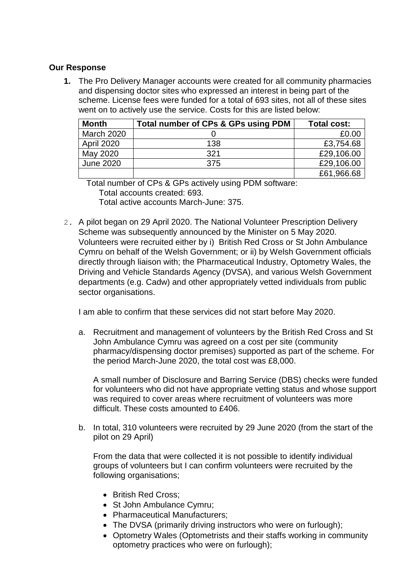## **Our Response**

**1.** The Pro Delivery Manager accounts were created for all community pharmacies and dispensing doctor sites who expressed an interest in being part of the scheme. License fees were funded for a total of 693 sites, not all of these sites went on to actively use the service. Costs for this are listed below:

| <b>Month</b>      | Total number of CPs & GPs using PDM | Total cost: |
|-------------------|-------------------------------------|-------------|
| <b>March 2020</b> |                                     | £0.00       |
| <b>April 2020</b> | 138                                 | £3,754.68   |
| May 2020          | 321                                 | £29,106.00  |
| June 2020         | 375                                 | £29,106.00  |
|                   |                                     | £61,966.68  |

Total number of CPs & GPs actively using PDM software: Total accounts created: 693. Total active accounts March-June: 375.

2. A pilot began on 29 April 2020. The National Volunteer Prescription Delivery Scheme was subsequently announced by the Minister on 5 May 2020. Volunteers were recruited either by i) British Red Cross or St John Ambulance Cymru on behalf of the Welsh Government; or ii) by Welsh Government officials directly through liaison with; the Pharmaceutical Industry, Optometry Wales, the Driving and Vehicle Standards Agency (DVSA), and various Welsh Government departments (e.g. Cadw) and other appropriately vetted individuals from public sector organisations.

I am able to confirm that these services did not start before May 2020.

a. Recruitment and management of volunteers by the British Red Cross and St John Ambulance Cymru was agreed on a cost per site (community pharmacy/dispensing doctor premises) supported as part of the scheme. For the period March-June 2020, the total cost was £8,000.

A small number of Disclosure and Barring Service (DBS) checks were funded for volunteers who did not have appropriate vetting status and whose support was required to cover areas where recruitment of volunteers was more difficult. These costs amounted to £406.

b. In total, 310 volunteers were recruited by 29 June 2020 (from the start of the pilot on 29 April)

From the data that were collected it is not possible to identify individual groups of volunteers but I can confirm volunteers were recruited by the following organisations;

- British Red Cross;
- St John Ambulance Cymru;
- Pharmaceutical Manufacturers:
- The DVSA (primarily driving instructors who were on furlough);
- Optometry Wales (Optometrists and their staffs working in community optometry practices who were on furlough);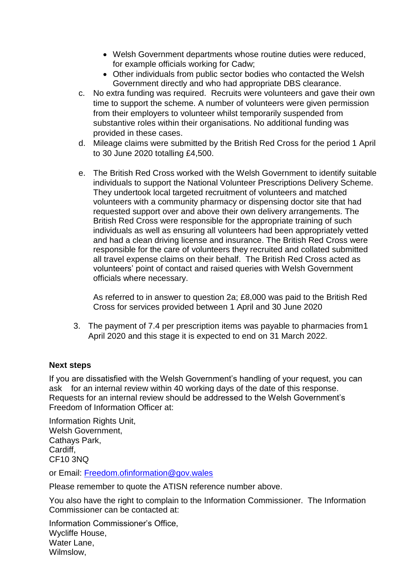- Welsh Government departments whose routine duties were reduced, for example officials working for Cadw;
- Other individuals from public sector bodies who contacted the Welsh Government directly and who had appropriate DBS clearance.
- c. No extra funding was required. Recruits were volunteers and gave their own time to support the scheme. A number of volunteers were given permission from their employers to volunteer whilst temporarily suspended from substantive roles within their organisations. No additional funding was provided in these cases.
- d. Mileage claims were submitted by the British Red Cross for the period 1 April to 30 June 2020 totalling £4,500.
- e. The British Red Cross worked with the Welsh Government to identify suitable individuals to support the National Volunteer Prescriptions Delivery Scheme. They undertook local targeted recruitment of volunteers and matched volunteers with a community pharmacy or dispensing doctor site that had requested support over and above their own delivery arrangements. The British Red Cross were responsible for the appropriate training of such individuals as well as ensuring all volunteers had been appropriately vetted and had a clean driving license and insurance. The British Red Cross were responsible for the care of volunteers they recruited and collated submitted all travel expense claims on their behalf. The British Red Cross acted as volunteers' point of contact and raised queries with Welsh Government officials where necessary.

As referred to in answer to question 2a; £8,000 was paid to the British Red Cross for services provided between 1 April and 30 June 2020

3. The payment of 7.4 per prescription items was payable to pharmacies from1 April 2020 and this stage it is expected to end on 31 March 2022.

## **Next steps**

If you are dissatisfied with the Welsh Government's handling of your request, you can ask for an internal review within 40 working days of the date of this response. Requests for an internal review should be addressed to the Welsh Government's Freedom of Information Officer at:

Information Rights Unit, Welsh Government, Cathays Park, Cardiff, CF10 3NQ

or Email: [Freedom.ofinformation@gov.wales](mailto:Freedom.ofinformation@gov.wales)

Please remember to quote the ATISN reference number above.

You also have the right to complain to the Information Commissioner. The Information Commissioner can be contacted at:

Information Commissioner's Office, Wycliffe House, Water Lane, Wilmslow,